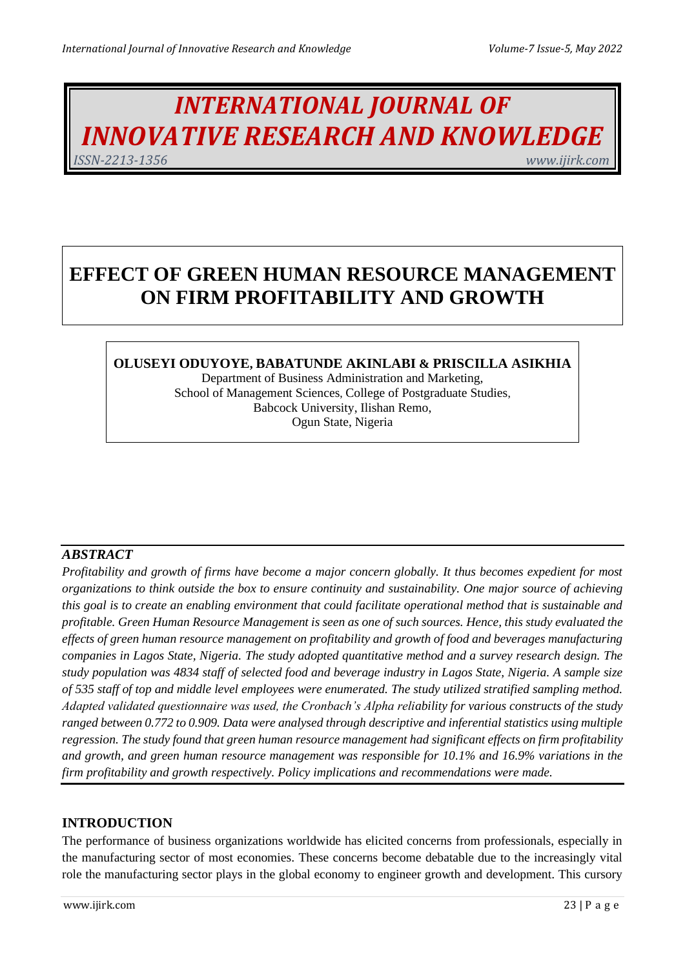# *INTERNATIONAL JOURNAL OF INNOVATIVE RESEARCH AND KNOWLEDGE ISSN-2213-1356 www.ijirk.com*

## **EFFECT OF GREEN HUMAN RESOURCE MANAGEMENT ON FIRM PROFITABILITY AND GROWTH**

## **OLUSEYI ODUYOYE, BABATUNDE AKINLABI & PRISCILLA ASIKHIA**

Department of Business Administration and Marketing, School of Management Sciences, College of Postgraduate Studies, Babcock University, Ilishan Remo, Ogun State, Nigeria

## *ABSTRACT*

*Profitability and growth of firms have become a major concern globally. It thus becomes expedient for most organizations to think outside the box to ensure continuity and sustainability. One major source of achieving this goal is to create an enabling environment that could facilitate operational method that is sustainable and profitable. Green Human Resource Management is seen as one of such sources. Hence, this study evaluated the effects of green human resource management on profitability and growth of food and beverages manufacturing companies in Lagos State, Nigeria. The study adopted quantitative method and a survey research design. The study population was 4834 staff of selected food and beverage industry in Lagos State, Nigeria. A sample size of 535 staff of top and middle level employees were enumerated. The study utilized stratified sampling method. Adapted validated questionnaire was used, the Cronbach's Alpha reliability for various constructs of the study ranged between 0.772 to 0.909. Data were analysed through descriptive and inferential statistics using multiple regression. The study found that green human resource management had significant effects on firm profitability and growth, and green human resource management was responsible for 10.1% and 16.9% variations in the firm profitability and growth respectively. Policy implications and recommendations were made.*

## **INTRODUCTION**

The performance of business organizations worldwide has elicited concerns from professionals, especially in the manufacturing sector of most economies. These concerns become debatable due to the increasingly vital role the manufacturing sector plays in the global economy to engineer growth and development. This cursory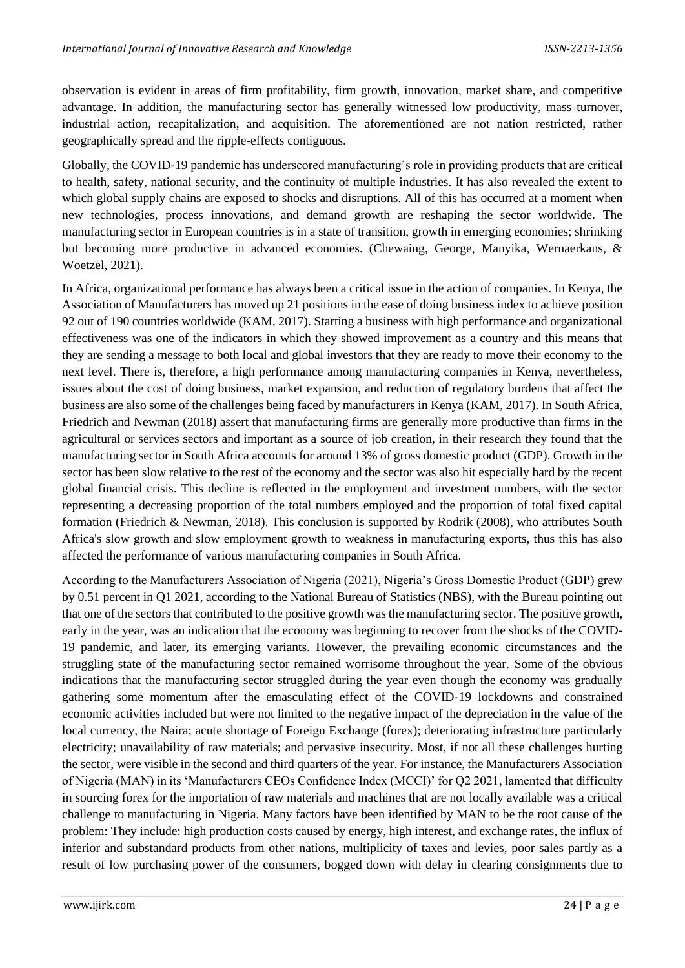observation is evident in areas of firm profitability, firm growth, innovation, market share, and competitive advantage. In addition, the manufacturing sector has generally witnessed low productivity, mass turnover, industrial action, recapitalization, and acquisition. The aforementioned are not nation restricted, rather geographically spread and the ripple-effects contiguous.

Globally, the COVID-19 pandemic has underscored manufacturing's role in providing products that are critical to health, safety, national security, and the continuity of multiple industries. It has also revealed the extent to which global supply chains are exposed to shocks and disruptions. All of this has occurred at a moment when new technologies, process innovations, and demand growth are reshaping the sector worldwide. The manufacturing sector in European countries is in a state of transition, growth in emerging economies; shrinking but becoming more productive in advanced economies. (Chewaing, George, Manyika, Wernaerkans, & Woetzel, 2021).

In Africa, organizational performance has always been a critical issue in the action of companies. In Kenya, the Association of Manufacturers has moved up 21 positions in the ease of doing business index to achieve position 92 out of 190 countries worldwide (KAM, 2017). Starting a business with high performance and organizational effectiveness was one of the indicators in which they showed improvement as a country and this means that they are sending a message to both local and global investors that they are ready to move their economy to the next level. There is, therefore, a high performance among manufacturing companies in Kenya, nevertheless, issues about the cost of doing business, market expansion, and reduction of regulatory burdens that affect the business are also some of the challenges being faced by manufacturers in Kenya (KAM, 2017). In South Africa, Friedrich and Newman (2018) assert that manufacturing firms are generally more productive than firms in the agricultural or services sectors and important as a source of job creation, in their research they found that the manufacturing sector in South Africa accounts for around 13% of gross domestic product (GDP). Growth in the sector has been slow relative to the rest of the economy and the sector was also hit especially hard by the recent global financial crisis. This decline is reflected in the employment and investment numbers, with the sector representing a decreasing proportion of the total numbers employed and the proportion of total fixed capital formation (Friedrich & Newman, 2018). This conclusion is supported by Rodrik (2008), who attributes South Africa's slow growth and slow employment growth to weakness in manufacturing exports, thus this has also affected the performance of various manufacturing companies in South Africa.

According to the Manufacturers Association of Nigeria (2021), Nigeria's Gross Domestic Product (GDP) grew by 0.51 percent in Q1 2021, according to the National Bureau of Statistics (NBS), with the Bureau pointing out that one of the sectors that contributed to the positive growth was the manufacturing sector. The positive growth, early in the year, was an indication that the economy was beginning to recover from the shocks of the COVID-19 pandemic, and later, its emerging variants. However, the prevailing economic circumstances and the struggling state of the manufacturing sector remained worrisome throughout the year. Some of the obvious indications that the manufacturing sector struggled during the year even though the economy was gradually gathering some momentum after the emasculating effect of the COVID-19 lockdowns and constrained economic activities included but were not limited to the negative impact of the depreciation in the value of the local currency, the Naira; acute shortage of Foreign Exchange (forex); deteriorating infrastructure particularly electricity; unavailability of raw materials; and pervasive insecurity. Most, if not all these challenges hurting the sector, were visible in the second and third quarters of the year. For instance, the Manufacturers Association of Nigeria (MAN) in its 'Manufacturers CEOs Confidence Index (MCCI)' for Q2 2021, lamented that difficulty in sourcing forex for the importation of raw materials and machines that are not locally available was a critical challenge to manufacturing in Nigeria. Many factors have been identified by MAN to be the root cause of the problem: They include: high production costs caused by energy, high interest, and exchange rates, the influx of inferior and substandard products from other nations, multiplicity of taxes and levies, poor sales partly as a result of low purchasing power of the consumers, bogged down with delay in clearing consignments due to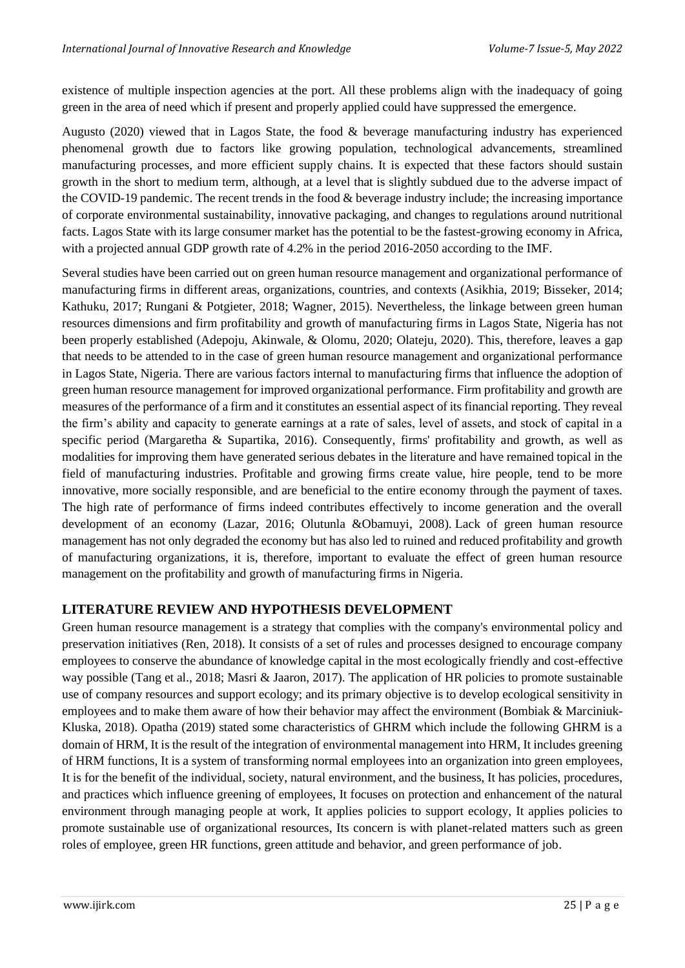existence of multiple inspection agencies at the port. All these problems align with the inadequacy of going green in the area of need which if present and properly applied could have suppressed the emergence.

Augusto (2020) viewed that in Lagos State, the food & beverage manufacturing industry has experienced phenomenal growth due to factors like growing population, technological advancements, streamlined manufacturing processes, and more efficient supply chains. It is expected that these factors should sustain growth in the short to medium term, although, at a level that is slightly subdued due to the adverse impact of the COVID-19 pandemic. The recent trends in the food & beverage industry include; the increasing importance of corporate environmental sustainability, innovative packaging, and changes to regulations around nutritional facts. Lagos State with its large consumer market has the potential to be the fastest-growing economy in Africa, with a projected annual GDP growth rate of 4.2% in the period 2016-2050 according to the IMF.

Several studies have been carried out on green human resource management and organizational performance of manufacturing firms in different areas, organizations, countries, and contexts (Asikhia, 2019; Bisseker, 2014; Kathuku, 2017; Rungani & Potgieter, 2018; Wagner, 2015). Nevertheless, the linkage between green human resources dimensions and firm profitability and growth of manufacturing firms in Lagos State, Nigeria has not been properly established (Adepoju, Akinwale, & Olomu, 2020; Olateju, 2020). This, therefore, leaves a gap that needs to be attended to in the case of green human resource management and organizational performance in Lagos State, Nigeria. There are various factors internal to manufacturing firms that influence the adoption of green human resource management for improved organizational performance. Firm profitability and growth are measures of the performance of a firm and it constitutes an essential aspect of its financial reporting. They reveal the firm's ability and capacity to generate earnings at a rate of sales, level of assets, and stock of capital in a specific period (Margaretha & Supartika, 2016). Consequently, firms' profitability and growth, as well as modalities for improving them have generated serious debates in the literature and have remained topical in the field of manufacturing industries. Profitable and growing firms create value, hire people, tend to be more innovative, more socially responsible, and are beneficial to the entire economy through the payment of taxes. The high rate of performance of firms indeed contributes effectively to income generation and the overall development of an economy (Lazar, 2016; Olutunla &Obamuyi, 2008). Lack of green human resource management has not only degraded the economy but has also led to ruined and reduced profitability and growth of manufacturing organizations, it is, therefore, important to evaluate the effect of green human resource management on the profitability and growth of manufacturing firms in Nigeria.

## **LITERATURE REVIEW AND HYPOTHESIS DEVELOPMENT**

Green human resource management is a strategy that complies with the company's environmental policy and preservation initiatives (Ren, 2018). It consists of a set of rules and processes designed to encourage company employees to conserve the abundance of knowledge capital in the most ecologically friendly and cost-effective way possible (Tang et al., 2018; Masri & Jaaron, 2017). The application of HR policies to promote sustainable use of company resources and support ecology; and its primary objective is to develop ecological sensitivity in employees and to make them aware of how their behavior may affect the environment (Bombiak & Marciniuk-Kluska, 2018). Opatha (2019) stated some characteristics of GHRM which include the following GHRM is a domain of HRM, It is the result of the integration of environmental management into HRM, It includes greening of HRM functions, It is a system of transforming normal employees into an organization into green employees, It is for the benefit of the individual, society, natural environment, and the business, It has policies, procedures, and practices which influence greening of employees, It focuses on protection and enhancement of the natural environment through managing people at work, It applies policies to support ecology, It applies policies to promote sustainable use of organizational resources, Its concern is with planet-related matters such as green roles of employee, green HR functions, green attitude and behavior, and green performance of job.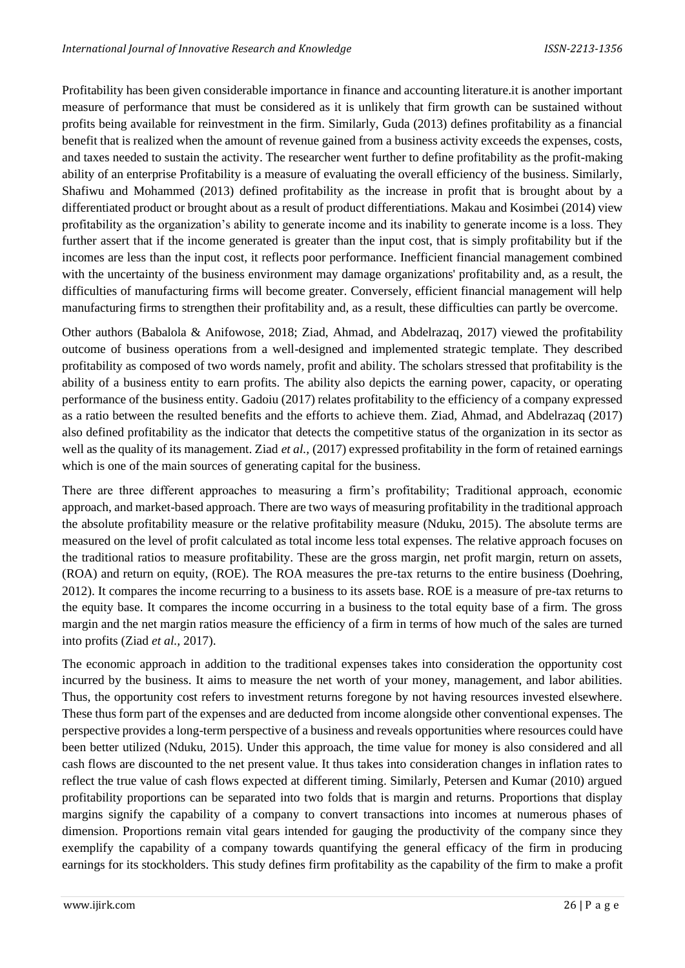Profitability has been given considerable importance in finance and accounting literature.it is another important measure of performance that must be considered as it is unlikely that firm growth can be sustained without profits being available for reinvestment in the firm. Similarly, Guda (2013) defines profitability as a financial benefit that is realized when the amount of revenue gained from a business activity exceeds the expenses, costs, and taxes needed to sustain the activity. The researcher went further to define profitability as the profit-making ability of an enterprise Profitability is a measure of evaluating the overall efficiency of the business. Similarly, Shafiwu and Mohammed (2013) defined profitability as the increase in profit that is brought about by a differentiated product or brought about as a result of product differentiations. Makau and Kosimbei (2014) view profitability as the organization's ability to generate income and its inability to generate income is a loss. They further assert that if the income generated is greater than the input cost, that is simply profitability but if the incomes are less than the input cost, it reflects poor performance. Inefficient financial management combined with the uncertainty of the business environment may damage organizations' profitability and, as a result, the difficulties of manufacturing firms will become greater. Conversely, efficient financial management will help manufacturing firms to strengthen their profitability and, as a result, these difficulties can partly be overcome.

Other authors (Babalola & Anifowose, 2018; Ziad, Ahmad, and Abdelrazaq, 2017) viewed the profitability outcome of business operations from a well-designed and implemented strategic template. They described profitability as composed of two words namely, profit and ability. The scholars stressed that profitability is the ability of a business entity to earn profits. The ability also depicts the earning power, capacity, or operating performance of the business entity. Gadoiu (2017) relates profitability to the efficiency of a company expressed as a ratio between the resulted benefits and the efforts to achieve them. Ziad, Ahmad, and Abdelrazaq (2017) also defined profitability as the indicator that detects the competitive status of the organization in its sector as well as the quality of its management. Ziad *et al.*, (2017) expressed profitability in the form of retained earnings which is one of the main sources of generating capital for the business.

There are three different approaches to measuring a firm's profitability; Traditional approach, economic approach, and market-based approach. There are two ways of measuring profitability in the traditional approach the absolute profitability measure or the relative profitability measure (Nduku, 2015). The absolute terms are measured on the level of profit calculated as total income less total expenses. The relative approach focuses on the traditional ratios to measure profitability. These are the gross margin, net profit margin, return on assets, (ROA) and return on equity, (ROE). The ROA measures the pre-tax returns to the entire business (Doehring, 2012). It compares the income recurring to a business to its assets base. ROE is a measure of pre-tax returns to the equity base. It compares the income occurring in a business to the total equity base of a firm. The gross margin and the net margin ratios measure the efficiency of a firm in terms of how much of the sales are turned into profits (Ziad *et al.,* 2017).

The economic approach in addition to the traditional expenses takes into consideration the opportunity cost incurred by the business. It aims to measure the net worth of your money, management, and labor abilities. Thus, the opportunity cost refers to investment returns foregone by not having resources invested elsewhere. These thus form part of the expenses and are deducted from income alongside other conventional expenses. The perspective provides a long-term perspective of a business and reveals opportunities where resources could have been better utilized (Nduku, 2015). Under this approach, the time value for money is also considered and all cash flows are discounted to the net present value. It thus takes into consideration changes in inflation rates to reflect the true value of cash flows expected at different timing. Similarly, Petersen and Kumar (2010) argued profitability proportions can be separated into two folds that is margin and returns. Proportions that display margins signify the capability of a company to convert transactions into incomes at numerous phases of dimension. Proportions remain vital gears intended for gauging the productivity of the company since they exemplify the capability of a company towards quantifying the general efficacy of the firm in producing earnings for its stockholders. This study defines firm profitability as the capability of the firm to make a profit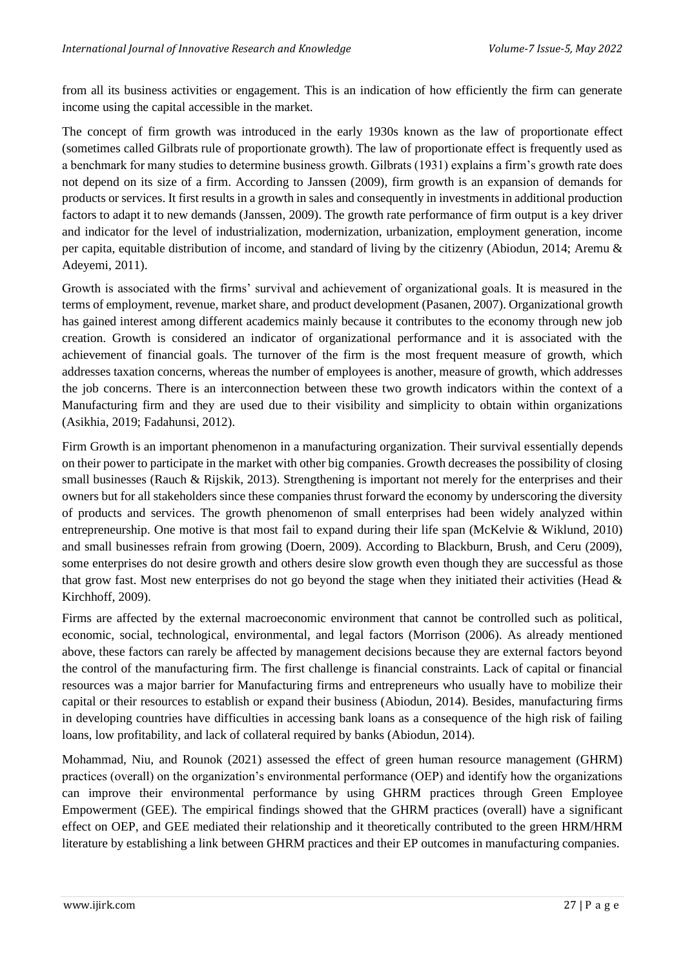from all its business activities or engagement. This is an indication of how efficiently the firm can generate income using the capital accessible in the market.

The concept of firm growth was introduced in the early 1930s known as the law of proportionate effect (sometimes called Gilbrats rule of proportionate growth). The law of proportionate effect is frequently used as a benchmark for many studies to determine business growth. Gilbrats (1931) explains a firm's growth rate does not depend on its size of a firm. According to Janssen (2009), firm growth is an expansion of demands for products or services. It first results in a growth in sales and consequently in investments in additional production factors to adapt it to new demands (Janssen, 2009). The growth rate performance of firm output is a key driver and indicator for the level of industrialization, modernization, urbanization, employment generation, income per capita, equitable distribution of income, and standard of living by the citizenry (Abiodun, 2014; Aremu & Adeyemi, 2011).

Growth is associated with the firms' survival and achievement of organizational goals. It is measured in the terms of employment, revenue, market share, and product development (Pasanen, 2007). Organizational growth has gained interest among different academics mainly because it contributes to the economy through new job creation. Growth is considered an indicator of organizational performance and it is associated with the achievement of financial goals. The turnover of the firm is the most frequent measure of growth, which addresses taxation concerns, whereas the number of employees is another, measure of growth, which addresses the job concerns. There is an interconnection between these two growth indicators within the context of a Manufacturing firm and they are used due to their visibility and simplicity to obtain within organizations (Asikhia, 2019; Fadahunsi, 2012).

Firm Growth is an important phenomenon in a manufacturing organization. Their survival essentially depends on their power to participate in the market with other big companies. Growth decreases the possibility of closing small businesses (Rauch & Rijskik, 2013). Strengthening is important not merely for the enterprises and their owners but for all stakeholders since these companies thrust forward the economy by underscoring the diversity of products and services. The growth phenomenon of small enterprises had been widely analyzed within entrepreneurship. One motive is that most fail to expand during their life span (McKelvie & Wiklund, 2010) and small businesses refrain from growing (Doern, 2009). According to Blackburn, Brush, and Ceru (2009), some enterprises do not desire growth and others desire slow growth even though they are successful as those that grow fast. Most new enterprises do not go beyond the stage when they initiated their activities (Head  $\&$ Kirchhoff, 2009).

Firms are affected by the external macroeconomic environment that cannot be controlled such as political, economic, social, technological, environmental, and legal factors (Morrison (2006). As already mentioned above, these factors can rarely be affected by management decisions because they are external factors beyond the control of the manufacturing firm. The first challenge is financial constraints. Lack of capital or financial resources was a major barrier for Manufacturing firms and entrepreneurs who usually have to mobilize their capital or their resources to establish or expand their business (Abiodun, 2014). Besides, manufacturing firms in developing countries have difficulties in accessing bank loans as a consequence of the high risk of failing loans, low profitability, and lack of collateral required by banks (Abiodun, 2014).

Mohammad, Niu, and Rounok (2021) assessed the effect of green human resource management (GHRM) practices (overall) on the organization's environmental performance (OEP) and identify how the organizations can improve their environmental performance by using GHRM practices through Green Employee Empowerment (GEE). The empirical findings showed that the GHRM practices (overall) have a significant effect on OEP, and GEE mediated their relationship and it theoretically contributed to the green HRM/HRM literature by establishing a link between GHRM practices and their EP outcomes in manufacturing companies.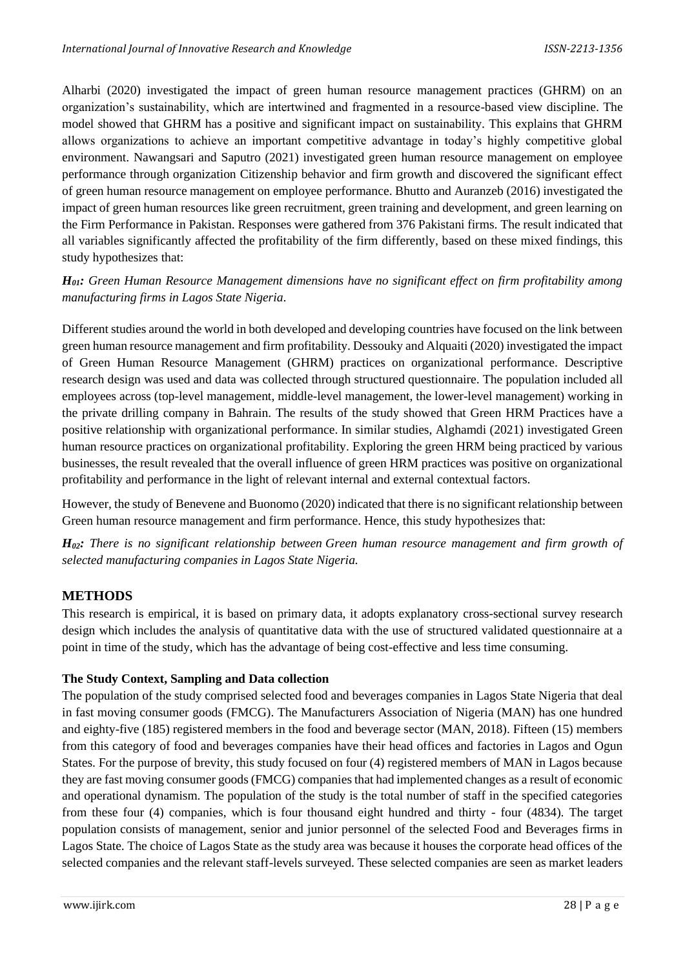Alharbi (2020) investigated the impact of green human resource management practices (GHRM) on an organization's sustainability, which are intertwined and fragmented in a resource-based view discipline. The model showed that GHRM has a positive and significant impact on sustainability. This explains that GHRM allows organizations to achieve an important competitive advantage in today's highly competitive global environment. Nawangsari and Saputro (2021) investigated green human resource management on employee performance through organization Citizenship behavior and firm growth and discovered the significant effect of green human resource management on employee performance. Bhutto and Auranzeb (2016) investigated the impact of green human resources like green recruitment, green training and development, and green learning on the Firm Performance in Pakistan. Responses were gathered from 376 Pakistani firms. The result indicated that all variables significantly affected the profitability of the firm differently, based on these mixed findings, this study hypothesizes that:

*H01: Green Human Resource Management dimensions have no significant effect on firm profitability among manufacturing firms in Lagos State Nigeria.*

Different studies around the world in both developed and developing countries have focused on the link between green human resource management and firm profitability. Dessouky and Alquaiti (2020) investigated the impact of Green Human Resource Management (GHRM) practices on organizational performance. Descriptive research design was used and data was collected through structured questionnaire. The population included all employees across (top-level management, middle-level management, the lower-level management) working in the private drilling company in Bahrain. The results of the study showed that Green HRM Practices have a positive relationship with organizational performance. In similar studies, Alghamdi (2021) investigated Green human resource practices on organizational profitability. Exploring the green HRM being practiced by various businesses, the result revealed that the overall influence of green HRM practices was positive on organizational profitability and performance in the light of relevant internal and external contextual factors.

However, the study of Benevene and Buonomo (2020) indicated that there is no significant relationship between Green human resource management and firm performance. Hence, this study hypothesizes that:

*H02: There is no significant relationship between Green human resource management and firm growth of selected manufacturing companies in Lagos State Nigeria.*

## **METHODS**

This research is empirical, it is based on primary data, it adopts explanatory cross-sectional survey research design which includes the analysis of quantitative data with the use of structured validated questionnaire at a point in time of the study, which has the advantage of being cost-effective and less time consuming.

#### **The Study Context, Sampling and Data collection**

The population of the study comprised selected food and beverages companies in Lagos State Nigeria that deal in fast moving consumer goods (FMCG). The Manufacturers Association of Nigeria (MAN) has one hundred and eighty-five (185) registered members in the food and beverage sector (MAN, 2018). Fifteen (15) members from this category of food and beverages companies have their head offices and factories in Lagos and Ogun States. For the purpose of brevity, this study focused on four (4) registered members of MAN in Lagos because they are fast moving consumer goods (FMCG) companies that had implemented changes as a result of economic and operational dynamism. The population of the study is the total number of staff in the specified categories from these four (4) companies, which is four thousand eight hundred and thirty - four (4834). The target population consists of management, senior and junior personnel of the selected Food and Beverages firms in Lagos State. The choice of Lagos State as the study area was because it houses the corporate head offices of the selected companies and the relevant staff-levels surveyed. These selected companies are seen as market leaders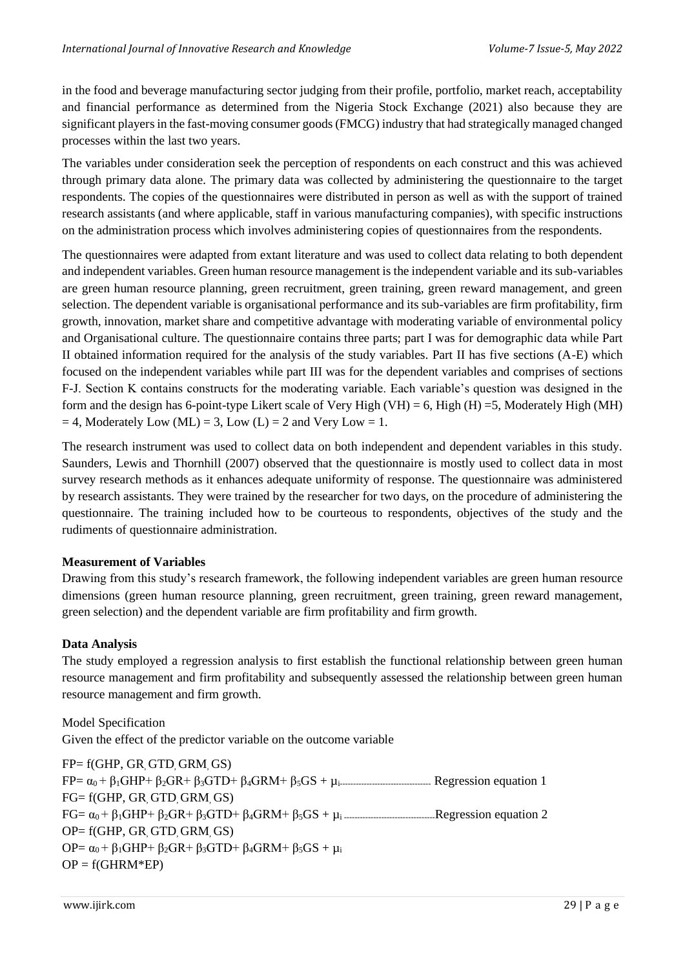in the food and beverage manufacturing sector judging from their profile, portfolio, market reach, acceptability and financial performance as determined from the Nigeria Stock Exchange (2021) also because they are significant players in the fast-moving consumer goods (FMCG) industry that had strategically managed changed processes within the last two years.

The variables under consideration seek the perception of respondents on each construct and this was achieved through primary data alone. The primary data was collected by administering the questionnaire to the target respondents. The copies of the questionnaires were distributed in person as well as with the support of trained research assistants (and where applicable, staff in various manufacturing companies), with specific instructions on the administration process which involves administering copies of questionnaires from the respondents.

The questionnaires were adapted from extant literature and was used to collect data relating to both dependent and independent variables. Green human resource management is the independent variable and its sub-variables are green human resource planning, green recruitment, green training, green reward management, and green selection. The dependent variable is organisational performance and its sub-variables are firm profitability, firm growth, innovation, market share and competitive advantage with moderating variable of environmental policy and Organisational culture. The questionnaire contains three parts; part I was for demographic data while Part II obtained information required for the analysis of the study variables. Part II has five sections (A-E) which focused on the independent variables while part III was for the dependent variables and comprises of sections F-J. Section K contains constructs for the moderating variable. Each variable's question was designed in the form and the design has 6-point-type Likert scale of Very High (VH) = 6, High (H) = 5, Moderately High (MH)  $= 4$ , Moderately Low (ML) = 3, Low (L) = 2 and Very Low = 1.

The research instrument was used to collect data on both independent and dependent variables in this study. Saunders, Lewis and Thornhill (2007) observed that the questionnaire is mostly used to collect data in most survey research methods as it enhances adequate uniformity of response. The questionnaire was administered by research assistants. They were trained by the researcher for two days, on the procedure of administering the questionnaire. The training included how to be courteous to respondents, objectives of the study and the rudiments of questionnaire administration.

#### **Measurement of Variables**

Drawing from this study's research framework, the following independent variables are green human resource dimensions (green human resource planning, green recruitment, green training, green reward management, green selection) and the dependent variable are firm profitability and firm growth.

#### **Data Analysis**

The study employed a regression analysis to first establish the functional relationship between green human resource management and firm profitability and subsequently assessed the relationship between green human resource management and firm growth.

Model Specification Given the effect of the predictor variable on the outcome variable

 $FP = f(GHP, GR, GTD, GRM, GS)$ FP= α0 + β1GHP+ β2GR+ β3GTD+ β4GRM+ β5GS + µi---------------------------------- Regression equation 1 FG= f(GHP, GR, GTD, GRM, GS) FG= α0 + β1GHP+ β2GR+ β3GTD+ β4GRM+ β5GS + µi ----------------------------------Regression equation 2 OP= f(GHP, GR, GTD, GRM, GS) OP=  $\alpha_0$  + β<sub>1</sub>GHP+ β<sub>2</sub>GR+ β<sub>3</sub>GTD+ β<sub>4</sub>GRM+ β<sub>5</sub>GS + μ<sub>i</sub>  $OP = f(GHRM*EP)$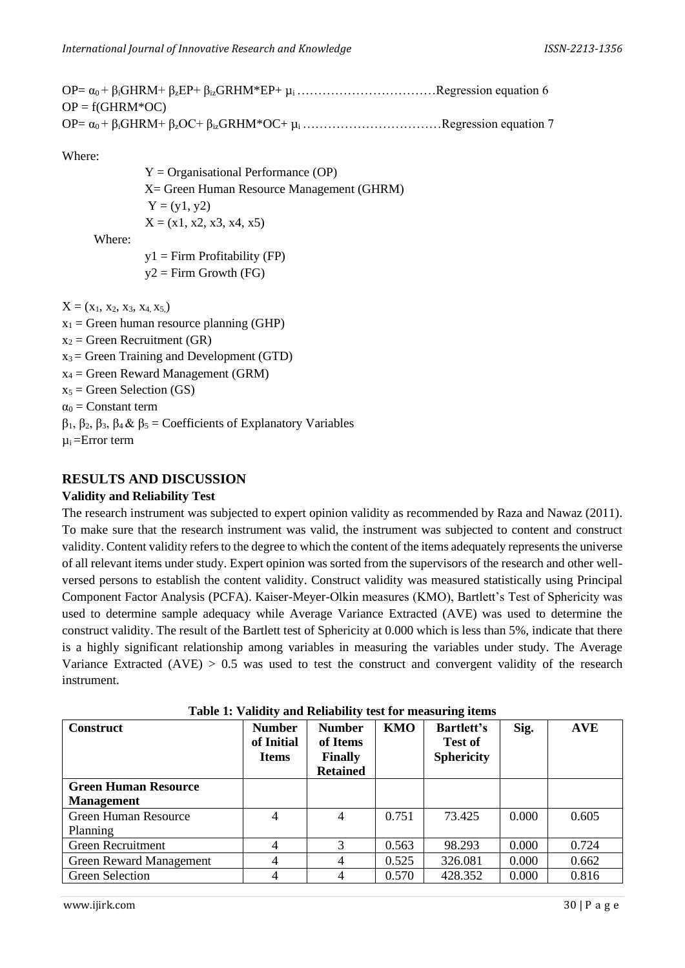| $OP = f(GHRM*OC)$ |  |
|-------------------|--|
|                   |  |

Where:

 $Y =$  Organisational Performance (OP) X= Green Human Resource Management (GHRM)  $Y = (y1, y2)$  $X = (x1, x2, x3, x4, x5)$ 

Where:

 $y1 =$ Firm Profitability (FP)  $v2 =$  Firm Growth (FG)

 $X = (x_1, x_2, x_3, x_4, x_5)$ 

 $x_1$  = Green human resource planning (GHP)  $x_2$  = Green Recruitment (GR)  $x_3$  = Green Training and Development (GTD)  $x_4$  = Green Reward Management (GRM)  $x_5$  = Green Selection (GS)  $\alpha_0$  = Constant term

β1, β2, β3, β4 & β<sup>5</sup> = Coefficients of Explanatory Variables

 $\mu_i =$ Error term

#### **RESULTS AND DISCUSSION**

#### **Validity and Reliability Test**

The research instrument was subjected to expert opinion validity as recommended by Raza and Nawaz (2011). To make sure that the research instrument was valid, the instrument was subjected to content and construct validity. Content validity refers to the degree to which the content of the items adequately represents the universe of all relevant items under study. Expert opinion was sorted from the supervisors of the research and other wellversed persons to establish the content validity. Construct validity was measured statistically using Principal Component Factor Analysis (PCFA). Kaiser-Meyer-Olkin measures (KMO), Bartlett's Test of Sphericity was used to determine sample adequacy while Average Variance Extracted (AVE) was used to determine the construct validity. The result of the Bartlett test of Sphericity at 0.000 which is less than 5%, indicate that there is a highly significant relationship among variables in measuring the variables under study. The Average Variance Extracted  $(AVE) > 0.5$  was used to test the construct and convergent validity of the research instrument.

| <b>Construct</b>                                 | <b>Number</b><br>of Initial<br><b>Items</b> | <b>Number</b><br>of Items<br><b>Finally</b><br><b>Retained</b> | <b>KMO</b> | <b>Bartlett's</b><br><b>Test of</b><br><b>Sphericity</b> | Sig.  | <b>AVE</b> |
|--------------------------------------------------|---------------------------------------------|----------------------------------------------------------------|------------|----------------------------------------------------------|-------|------------|
| <b>Green Human Resource</b><br><b>Management</b> |                                             |                                                                |            |                                                          |       |            |
| Green Human Resource<br><b>Planning</b>          | 4                                           | 4                                                              | 0.751      | 73.425                                                   | 0.000 | 0.605      |
| <b>Green Recruitment</b>                         | 4                                           | 3                                                              | 0.563      | 98.293                                                   | 0.000 | 0.724      |
| <b>Green Reward Management</b>                   | 4                                           |                                                                | 0.525      | 326.081                                                  | 0.000 | 0.662      |
| Green Selection                                  |                                             |                                                                | 0.570      | 428.352                                                  | 0.000 | 0.816      |

**Table 1: Validity and Reliability test for measuring items**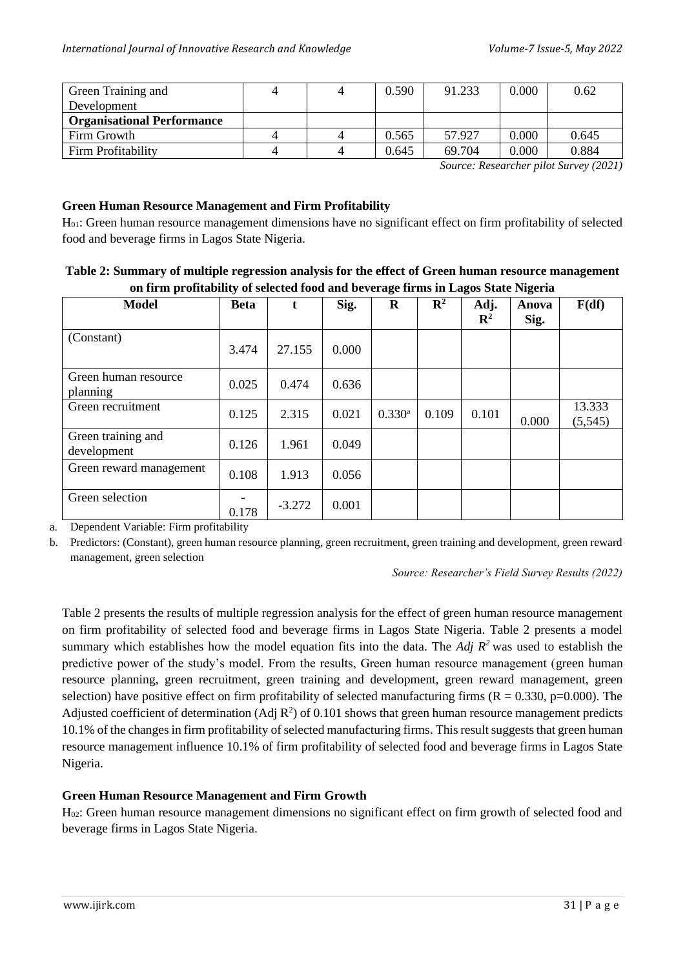| Green Training and                |  | 0.590 | 91.233 | 0.000 | 0.62  |
|-----------------------------------|--|-------|--------|-------|-------|
| Development                       |  |       |        |       |       |
| <b>Organisational Performance</b> |  |       |        |       |       |
| Firm Growth                       |  | 0.565 | 57.927 | 0.000 | 0.645 |
| Firm Profitability                |  | 0.645 | 69.704 | 0.000 | 0.884 |
|                                   |  |       |        |       |       |

*Source: Researcher pilot Survey (2021)*

#### **Green Human Resource Management and Firm Profitability**

H01: Green human resource management dimensions have no significant effect on firm profitability of selected food and beverage firms in Lagos State Nigeria.

#### **Table 2: Summary of multiple regression analysis for the effect of Green human resource management on firm profitability of selected food and beverage firms in Lagos State Nigeria**

|                                   |             |          |       | o           |                | o                      | o             |                   |
|-----------------------------------|-------------|----------|-------|-------------|----------------|------------------------|---------------|-------------------|
| <b>Model</b>                      | <b>Beta</b> | t.       | Sig.  | $\mathbf R$ | $\mathbb{R}^2$ | Adj.<br>$\mathbf{R}^2$ | Anova<br>Sig. | F(df)             |
| (Constant)                        | 3.474       | 27.155   | 0.000 |             |                |                        |               |                   |
| Green human resource<br>planning  | 0.025       | 0.474    | 0.636 |             |                |                        |               |                   |
| Green recruitment                 | 0.125       | 2.315    | 0.021 | $0.330^{a}$ | 0.109          | 0.101                  | 0.000         | 13.333<br>(5,545) |
| Green training and<br>development | 0.126       | 1.961    | 0.049 |             |                |                        |               |                   |
| Green reward management           | 0.108       | 1.913    | 0.056 |             |                |                        |               |                   |
| Green selection                   | 0.178       | $-3.272$ | 0.001 |             |                |                        |               |                   |

a. Dependent Variable: Firm profitability

b. Predictors: (Constant), green human resource planning, green recruitment, green training and development, green reward management, green selection

*Source: Researcher's Field Survey Results (2022)*

Table 2 presents the results of multiple regression analysis for the effect of green human resource management on firm profitability of selected food and beverage firms in Lagos State Nigeria. Table 2 presents a model summary which establishes how the model equation fits into the data. The *Adj R<sup>2</sup>* was used to establish the predictive power of the study's model. From the results, Green human resource management (green human resource planning, green recruitment, green training and development, green reward management, green selection) have positive effect on firm profitability of selected manufacturing firms  $(R = 0.330, p=0.000)$ . The Adjusted coefficient of determination (Adj  $\mathbb{R}^2$ ) of 0.101 shows that green human resource management predicts 10.1% of the changes in firm profitability of selected manufacturing firms. This result suggests that green human resource management influence 10.1% of firm profitability of selected food and beverage firms in Lagos State Nigeria.

#### **Green Human Resource Management and Firm Growth**

 $H<sub>02</sub>$ : Green human resource management dimensions no significant effect on firm growth of selected food and beverage firms in Lagos State Nigeria.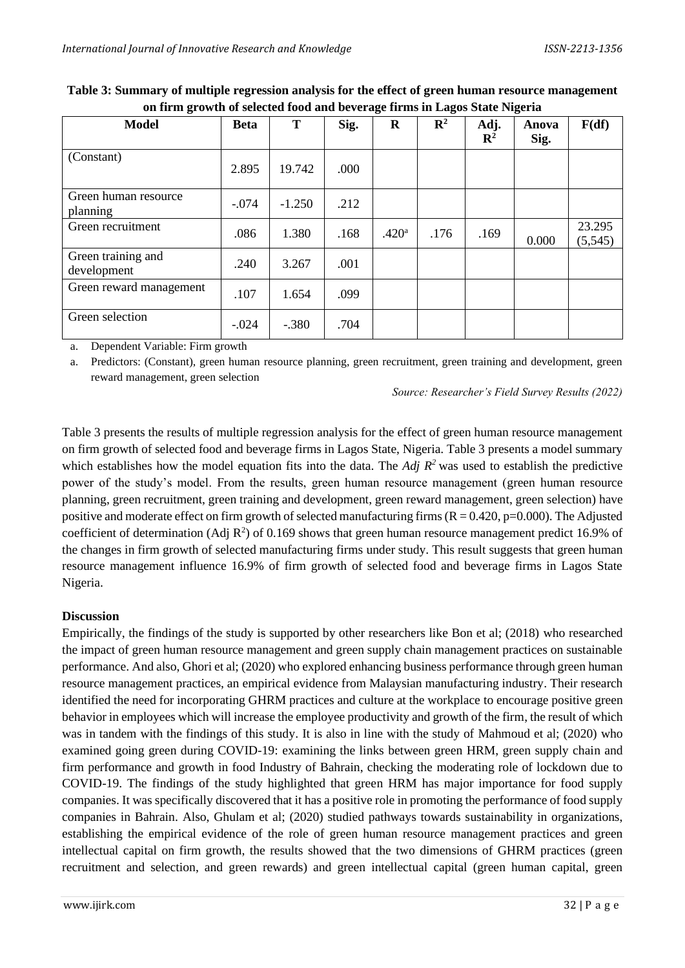| <b>Model</b>                      | <b>Beta</b> | T        | Sig. | $\bf{R}$          | $\mathbf{R}^2$ | Adj.<br>$\mathbf{R}^2$ | Anova<br>Sig. | F(df)             |
|-----------------------------------|-------------|----------|------|-------------------|----------------|------------------------|---------------|-------------------|
| (Constant)                        | 2.895       | 19.742   | .000 |                   |                |                        |               |                   |
| Green human resource<br>planning  | $-.074$     | $-1.250$ | .212 |                   |                |                        |               |                   |
| Green recruitment                 | .086        | 1.380    | .168 | .420 <sup>a</sup> | .176           | .169                   | 0.000         | 23.295<br>(5,545) |
| Green training and<br>development | .240        | 3.267    | .001 |                   |                |                        |               |                   |
| Green reward management           | .107        | 1.654    | .099 |                   |                |                        |               |                   |
| Green selection                   | $-.024$     | $-.380$  | .704 |                   |                |                        |               |                   |

**Table 3: Summary of multiple regression analysis for the effect of green human resource management on firm growth of selected food and beverage firms in Lagos State Nigeria**

a. Dependent Variable: Firm growth

a. Predictors: (Constant), green human resource planning, green recruitment, green training and development, green reward management, green selection

*Source: Researcher's Field Survey Results (2022)*

Table 3 presents the results of multiple regression analysis for the effect of green human resource management on firm growth of selected food and beverage firms in Lagos State, Nigeria. Table 3 presents a model summary which establishes how the model equation fits into the data. The *Adj R<sup>2</sup>* was used to establish the predictive power of the study's model. From the results, green human resource management (green human resource planning, green recruitment, green training and development, green reward management, green selection) have positive and moderate effect on firm growth of selected manufacturing firms  $(R = 0.420, p=0.000)$ . The Adjusted coefficient of determination (Adj  $\mathbb{R}^2$ ) of 0.169 shows that green human resource management predict 16.9% of the changes in firm growth of selected manufacturing firms under study. This result suggests that green human resource management influence 16.9% of firm growth of selected food and beverage firms in Lagos State Nigeria.

#### **Discussion**

Empirically, the findings of the study is supported by other researchers like Bon et al; (2018) who researched the impact of green human resource management and green supply chain management practices on sustainable performance. And also, Ghori et al; (2020) who explored enhancing business performance through green human resource management practices, an empirical evidence from Malaysian manufacturing industry. Their research identified the need for incorporating GHRM practices and culture at the workplace to encourage positive green behavior in employees which will increase the employee productivity and growth of the firm, the result of which was in tandem with the findings of this study. It is also in line with the study of Mahmoud et al; (2020) who examined going green during COVID-19: examining the links between green HRM, green supply chain and firm performance and growth in food Industry of Bahrain, checking the moderating role of lockdown due to COVID-19. The findings of the study highlighted that green HRM has major importance for food supply companies. It was specifically discovered that it has a positive role in promoting the performance of food supply companies in Bahrain. Also, Ghulam et al; (2020) studied pathways towards sustainability in organizations, establishing the empirical evidence of the role of green human resource management practices and green intellectual capital on firm growth, the results showed that the two dimensions of GHRM practices (green recruitment and selection, and green rewards) and green intellectual capital (green human capital, green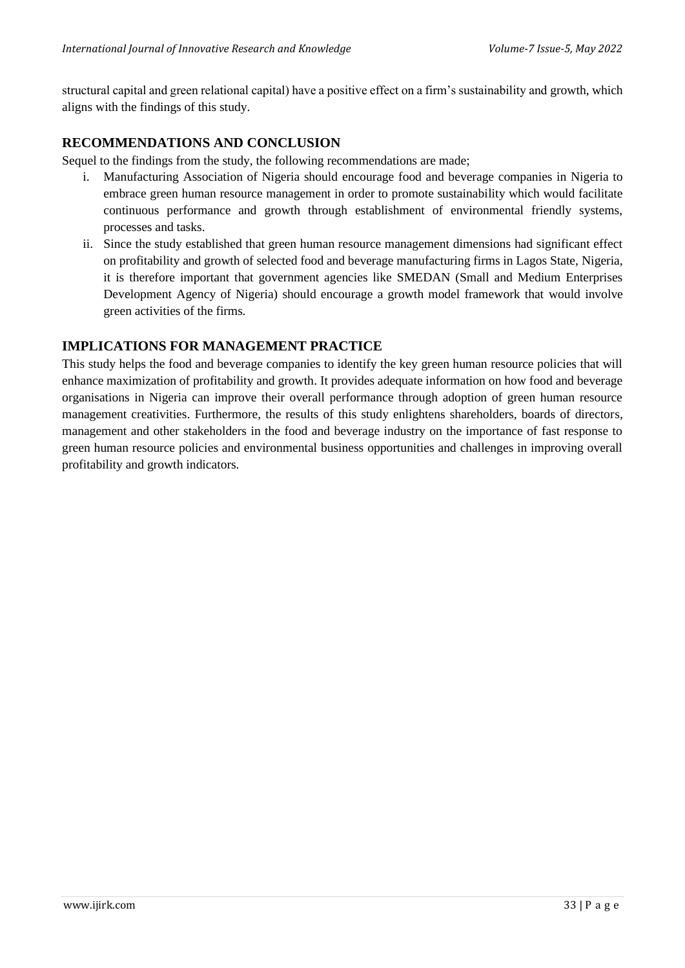structural capital and green relational capital) have a positive effect on a firm's sustainability and growth, which aligns with the findings of this study.

## **RECOMMENDATIONS AND CONCLUSION**

Sequel to the findings from the study, the following recommendations are made;

- i. Manufacturing Association of Nigeria should encourage food and beverage companies in Nigeria to embrace green human resource management in order to promote sustainability which would facilitate continuous performance and growth through establishment of environmental friendly systems, processes and tasks.
- ii. Since the study established that green human resource management dimensions had significant effect on profitability and growth of selected food and beverage manufacturing firms in Lagos State, Nigeria, it is therefore important that government agencies like SMEDAN (Small and Medium Enterprises Development Agency of Nigeria) should encourage a growth model framework that would involve green activities of the firms.

### **IMPLICATIONS FOR MANAGEMENT PRACTICE**

This study helps the food and beverage companies to identify the key green human resource policies that will enhance maximization of profitability and growth. It provides adequate information on how food and beverage organisations in Nigeria can improve their overall performance through adoption of green human resource management creativities. Furthermore, the results of this study enlightens shareholders, boards of directors, management and other stakeholders in the food and beverage industry on the importance of fast response to green human resource policies and environmental business opportunities and challenges in improving overall profitability and growth indicators.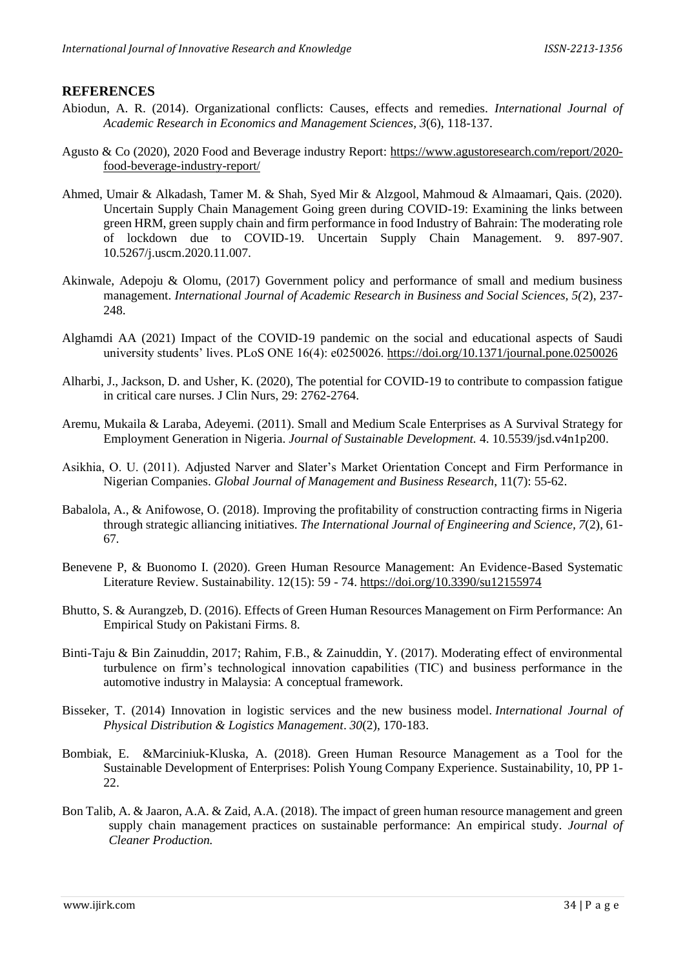#### **REFERENCES**

- Abiodun, A. R. (2014). Organizational conflicts: Causes, effects and remedies. *International Journal of Academic Research in Economics and Management Sciences, 3*(6), 118-137.
- Agusto & Co (2020), 2020 Food and Beverage industry Report: [https://www.agustoresearch.com/report/2020](https://www.agustoresearch.com/report/2020-food-beverage-industry-report/) [food-beverage-industry-report/](https://www.agustoresearch.com/report/2020-food-beverage-industry-report/)
- Ahmed, Umair & Alkadash, Tamer M. & Shah, Syed Mir & Alzgool, Mahmoud & Almaamari, Qais. (2020). Uncertain Supply Chain Management Going green during COVID-19: Examining the links between green HRM, green supply chain and firm performance in food Industry of Bahrain: The moderating role of lockdown due to COVID-19. Uncertain Supply Chain Management. 9. 897-907. 10.5267/j.uscm.2020.11.007.
- Akinwale, Adepoju & Olomu, (2017) Government policy and performance of small and medium business management. *International Journal of Academic Research in Business and Social Sciences, 5(*2), 237- 248.
- Alghamdi AA (2021) Impact of the COVID-19 pandemic on the social and educational aspects of Saudi university students' lives. PLoS ONE 16(4): e0250026.<https://doi.org/10.1371/journal.pone.0250026>
- Alharbi, J., Jackson, D. and Usher, K. (2020), The potential for COVID-19 to contribute to compassion fatigue in critical care nurses. J Clin Nurs, 29: 2762-2764.
- Aremu, Mukaila & Laraba, Adeyemi. (2011). Small and Medium Scale Enterprises as A Survival Strategy for Employment Generation in Nigeria. *Journal of Sustainable Development.* 4. 10.5539/jsd.v4n1p200.
- Asikhia, O. U. (2011). Adjusted Narver and Slater's Market Orientation Concept and Firm Performance in Nigerian Companies. *Global Journal of Management and Business Research*, 11(7): 55-62.
- Babalola, A., & Anifowose, O. (2018). Improving the profitability of construction contracting firms in Nigeria through strategic alliancing initiatives. *The International Journal of Engineering and Science, 7*(2), 61- 67*.*
- Benevene P, & Buonomo I. (2020). Green Human Resource Management: An Evidence-Based Systematic Literature Review. Sustainability. 12(15): 59 - 74.<https://doi.org/10.3390/su12155974>
- Bhutto, S. & Aurangzeb, D. (2016). Effects of Green Human Resources Management on Firm Performance: An Empirical Study on Pakistani Firms. 8.
- Binti-Taju & Bin Zainuddin, 2017; Rahim, F.B., & Zainuddin, Y. (2017). Moderating effect of environmental turbulence on firm's technological innovation capabilities (TIC) and business performance in the automotive industry in Malaysia: A conceptual framework.
- Bisseker, T. (2014) Innovation in logistic services and the new business model. *International Journal of Physical Distribution & Logistics Management*. *30*(2), 170-183.
- Bombiak, E. &Marciniuk-Kluska, A. (2018). Green Human Resource Management as a Tool for the Sustainable Development of Enterprises: Polish Young Company Experience. Sustainability, 10, PP 1- 22.
- Bon Talib, A. & Jaaron, A.A. & Zaid, A.A. (2018). The impact of green human resource management and green supply chain management practices on sustainable performance: An empirical study. *Journal of Cleaner Production.*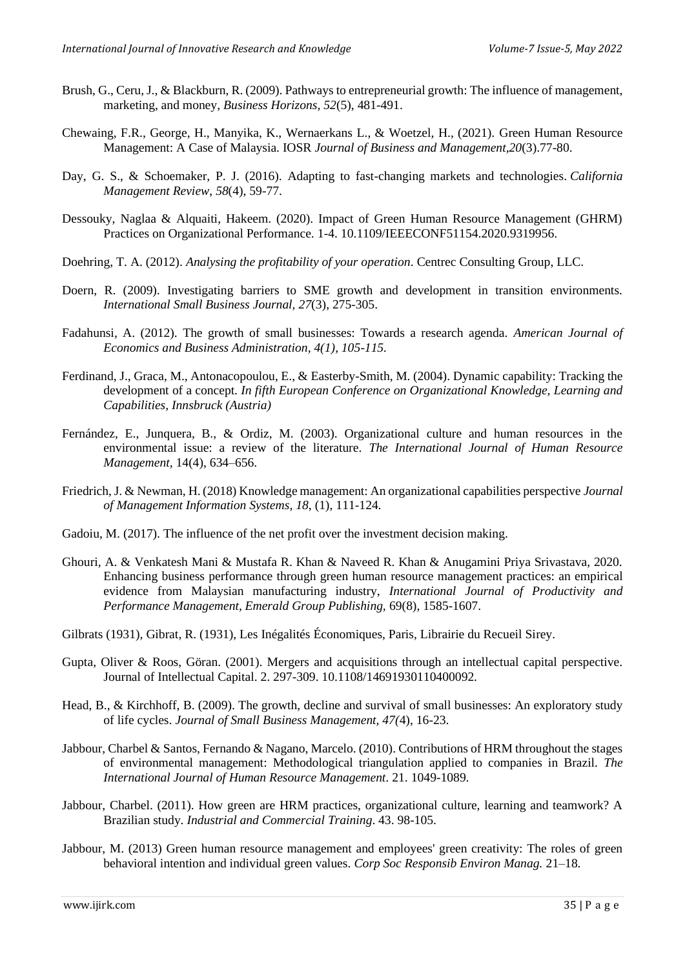- Brush, G., Ceru, J., & Blackburn, R. (2009). Pathways to entrepreneurial growth: The influence of management, marketing, and money, *Business Horizons, 52*(5), 481-491.
- Chewaing, F.R., George, H., Manyika, K., Wernaerkans L., & Woetzel, H., (2021). Green Human Resource Management: A Case of Malaysia. IOSR *Journal of Business and Management,20*(3).77-80.
- Day, G. S., & Schoemaker, P. J. (2016). Adapting to fast-changing markets and technologies. *California Management Review*, *58*(4), 59-77.
- Dessouky, Naglaa & Alquaiti, Hakeem. (2020). Impact of Green Human Resource Management (GHRM) Practices on Organizational Performance. 1-4. 10.1109/IEEECONF51154.2020.9319956.
- Doehring, T. A. (2012). *Analysing the profitability of your operation*. Centrec Consulting Group, LLC.
- Doern, R. (2009). Investigating barriers to SME growth and development in transition environments. *International Small Business Journal, 27*(3), 275-305.
- Fadahunsi, A. (2012). The growth of small businesses: Towards a research agenda. *American Journal of Economics and Business Administration, 4(1), 105-115.*
- Ferdinand, J., Graca, M., Antonacopoulou, E., & Easterby-Smith, M. (2004). Dynamic capability: Tracking the development of a concept*. In fifth European Conference on Organizational Knowledge, Learning and Capabilities, Innsbruck (Austria)*
- Fernández, E., Junquera, B., & Ordiz, M. (2003). Organizational culture and human resources in the environmental issue: a review of the literature. *The International Journal of Human Resource Management,* 14(4), 634–656.
- Friedrich, J. & Newman, H. (2018) Knowledge management: An organizational capabilities perspective *Journal of Management Information Systems, 18*, (1), 111-124.
- Gadoiu, M. (2017). The influence of the net profit over the investment decision making.
- Ghouri, A. & Venkatesh Mani & Mustafa R. Khan & Naveed R. Khan & Anugamini Priya Srivastava, 2020. Enhancing business performance through green human resource management practices: an empirical evidence from Malaysian manufacturing industry, *International Journal of Productivity and Performance Management, Emerald Group Publishing,* 69(8), 1585-1607.
- Gilbrats (1931), Gibrat, R. (1931), Les Inégalités Économiques, Paris, Librairie du Recueil Sirey.
- Gupta, Oliver & Roos, Göran. (2001). Mergers and acquisitions through an intellectual capital perspective. Journal of Intellectual Capital. 2. 297-309. 10.1108/14691930110400092.
- Head, B., & Kirchhoff, B. (2009). The growth, decline and survival of small businesses: An exploratory study of life cycles. *Journal of Small Business Management, 47(*4), 16-23.
- Jabbour, Charbel & Santos, Fernando & Nagano, Marcelo. (2010). Contributions of HRM throughout the stages of environmental management: Methodological triangulation applied to companies in Brazil. *The International Journal of Human Resource Management*. 21. 1049-1089.
- Jabbour, Charbel. (2011). How green are HRM practices, organizational culture, learning and teamwork? A Brazilian study. *Industrial and Commercial Training*. 43. 98-105.
- Jabbour, M. (2013) Green human resource management and employees' green creativity: The roles of green behavioral intention and individual green values. *Corp Soc Responsib Environ Manag.* 21–18.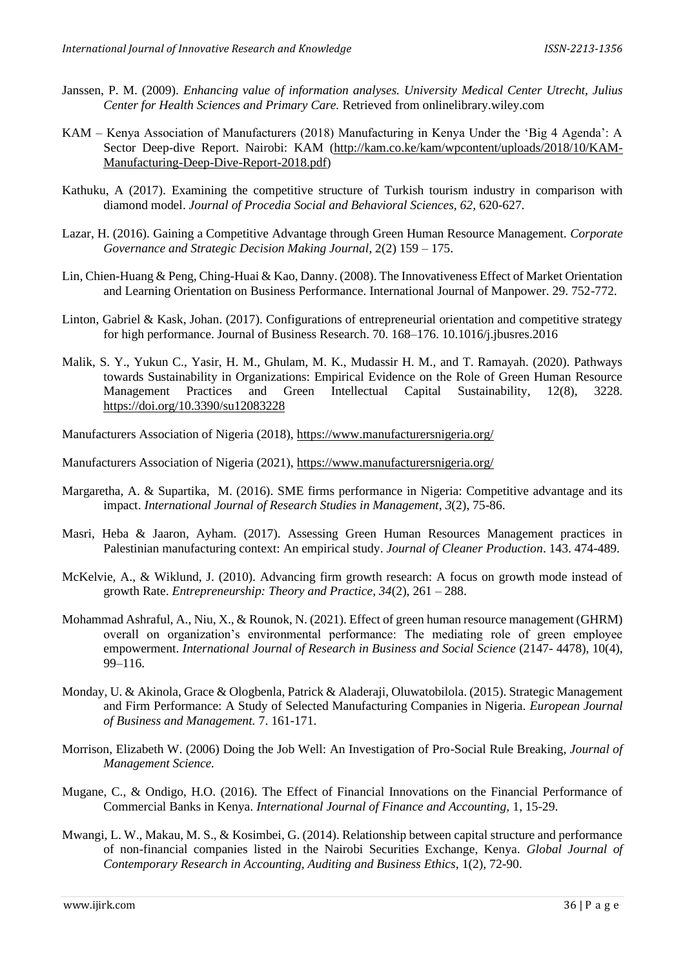- Janssen, P. M. (2009). *Enhancing value of information analyses. University Medical Center Utrecht, Julius Center for Health Sciences and Primary Care.* Retrieved from onlinelibrary.wiley.com
- KAM Kenya Association of Manufacturers (2018) Manufacturing in Kenya Under the 'Big 4 Agenda': A Sector Deep-dive Report. Nairobi: KAM [\(http://kam.co.ke/kam/wpcontent/uploads/2018/10/KAM-](http://kam.co.ke/kam/wpcontent/uploads/2018/10/KAM-Manufacturing-Deep-Dive-Report-2018.pdf)[Manufacturing-Deep-Dive-Report-2018.pdf\)](http://kam.co.ke/kam/wpcontent/uploads/2018/10/KAM-Manufacturing-Deep-Dive-Report-2018.pdf)
- Kathuku, A (2017). Examining the competitive structure of Turkish tourism industry in comparison with diamond model. *Journal of Procedia Social and Behavioral Sciences, 62,* 620-627.
- Lazar, H. (2016). Gaining a Competitive Advantage through Green Human Resource Management. *Corporate Governance and Strategic Decision Making Journal*, 2(2) 159 – 175.
- Lin, Chien-Huang & Peng, Ching-Huai & Kao, Danny. (2008). The Innovativeness Effect of Market Orientation and Learning Orientation on Business Performance. International Journal of Manpower. 29. 752-772.
- Linton, Gabriel & Kask, Johan. (2017). Configurations of entrepreneurial orientation and competitive strategy for high performance. Journal of Business Research. 70. 168–176. 10.1016/j.jbusres.2016
- Malik, S. Y., Yukun C., Yasir, H. M., Ghulam, M. K., Mudassir H. M., and T. Ramayah. (2020). Pathways towards Sustainability in Organizations: Empirical Evidence on the Role of Green Human Resource Management Practices and Green Intellectual Capital Sustainability, 12(8), 3228. <https://doi.org/10.3390/su12083228>
- Manufacturers Association of Nigeria (2018),<https://www.manufacturersnigeria.org/>
- Manufacturers Association of Nigeria (2021),<https://www.manufacturersnigeria.org/>
- Margaretha, A. & Supartika, M. (2016). SME firms performance in Nigeria: Competitive advantage and its impact. *International Journal of Research Studies in Management*, *3*(2), 75-86.
- Masri, Heba & Jaaron, Ayham. (2017). Assessing Green Human Resources Management practices in Palestinian manufacturing context: An empirical study. *Journal of Cleaner Production*. 143. 474-489.
- McKelvie, A., & Wiklund, J. (2010). Advancing firm growth research: A focus on growth mode instead of growth Rate. *Entrepreneurship: Theory and Practice, 34*(2), 261 – 288.
- Mohammad Ashraful, A., Niu, X., & Rounok, N. (2021). Effect of green human resource management (GHRM) overall on organization's environmental performance: The mediating role of green employee empowerment. *International Journal of Research in Business and Social Science* (2147- 4478), 10(4), 99–116.
- Monday, U. & Akinola, Grace & Ologbenla, Patrick & Aladeraji, Oluwatobilola. (2015). Strategic Management and Firm Performance: A Study of Selected Manufacturing Companies in Nigeria. *European Journal of Business and Management.* 7. 161-171.
- Morrison, Elizabeth W. (2006) Doing the Job Well: An Investigation of Pro-Social Rule Breaking, *Journal of Management Science.*
- Mugane, C., & Ondigo, H.O. (2016). The Effect of Financial Innovations on the Financial Performance of Commercial Banks in Kenya. *International Journal of Finance and Accounting,* 1, 15-29.
- Mwangi, L. W., Makau, M. S., & Kosimbei, G. (2014). Relationship between capital structure and performance of non-financial companies listed in the Nairobi Securities Exchange, Kenya. *Global Journal of Contemporary Research in Accounting, Auditing and Business Ethics,* 1(2), 72-90.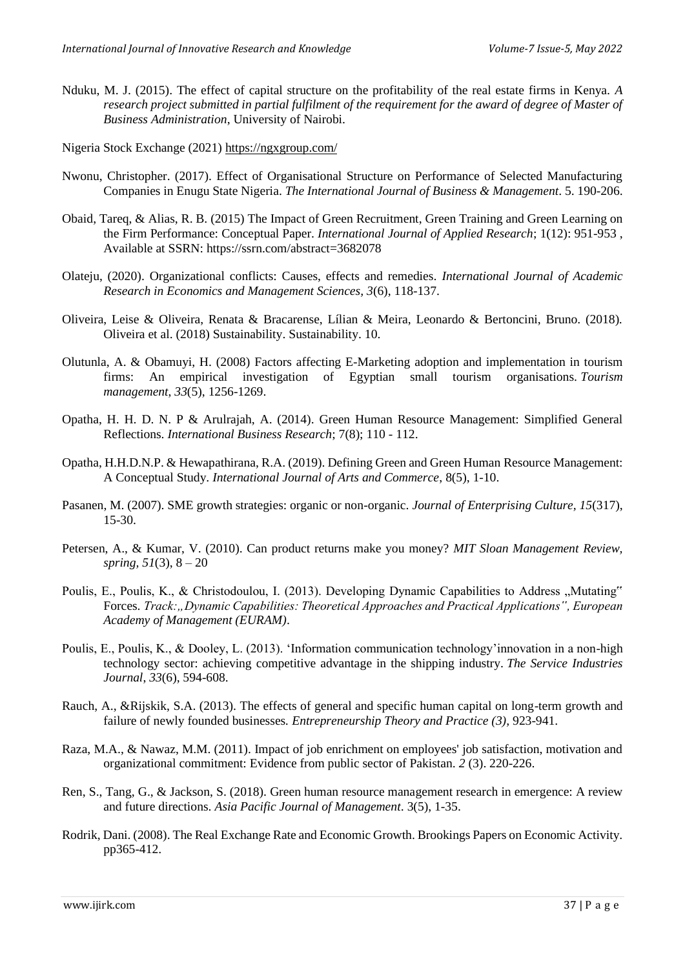- Nduku, M. J. (2015). The effect of capital structure on the profitability of the real estate firms in Kenya. *A research project submitted in partial fulfilment of the requirement for the award of degree of Master of Business Administration*, University of Nairobi.
- Nigeria Stock Exchange (2021[\) https://ngxgroup.com/](https://ngxgroup.com/)
- Nwonu, Christopher. (2017). Effect of Organisational Structure on Performance of Selected Manufacturing Companies in Enugu State Nigeria. *The International Journal of Business & Management*. 5. 190-206.
- Obaid, Tareq, & Alias, R. B. (2015) The Impact of Green Recruitment, Green Training and Green Learning on the Firm Performance: Conceptual Paper. *International Journal of Applied Research*; 1(12): 951-953 , Available at SSRN: https://ssrn.com/abstract=3682078
- Olateju, (2020). Organizational conflicts: Causes, effects and remedies. *International Journal of Academic Research in Economics and Management Sciences, 3*(6), 118-137.
- Oliveira, Leise & Oliveira, Renata & Bracarense, Lílian & Meira, Leonardo & Bertoncini, Bruno. (2018). Oliveira et al. (2018) Sustainability. Sustainability. 10.
- Olutunla, A. & Obamuyi, H. (2008) Factors affecting E-Marketing adoption and implementation in tourism firms: An empirical investigation of Egyptian small tourism organisations. *Tourism management*, *33*(5), 1256-1269.
- Opatha, H. H. D. N. P & Arulrajah, A. (2014). Green Human Resource Management: Simplified General Reflections. *International Business Research*; 7(8); 110 - 112.
- Opatha, H.H.D.N.P. & Hewapathirana, R.A. (2019). Defining Green and Green Human Resource Management: A Conceptual Study. *International Journal of Arts and Commerce*, 8(5), 1-10.
- Pasanen, M. (2007). SME growth strategies: organic or non-organic. *Journal of Enterprising Culture, 15*(317), 15-30.
- Petersen, A., & Kumar, V. (2010). Can product returns make you money? *MIT Sloan Management Review, spring, 51*(3), 8 – 20
- Poulis, E., Poulis, K., & Christodoulou, I. (2013). Developing Dynamic Capabilities to Address "Mutating" Forces. *Track:,, Dynamic Capabilities: Theoretical Approaches and Practical Applications", European Academy of Management (EURAM)*.
- Poulis, E., Poulis, K., & Dooley, L. (2013). 'Information communication technology'innovation in a non-high technology sector: achieving competitive advantage in the shipping industry. *The Service Industries Journal*, *33*(6), 594-608.
- Rauch, A., &Rijskik, S.A. (2013). The effects of general and specific human capital on long-term growth and failure of newly founded businesses*. Entrepreneurship Theory and Practice (3),* 923-941.
- Raza, M.A., & Nawaz, M.M. (2011). Impact of job enrichment on employees' job satisfaction, motivation and organizational commitment: Evidence from public sector of Pakistan. *2* (3). 220-226.
- Ren, S., Tang, G., & Jackson, S. (2018). Green human resource management research in emergence: A review and future directions. *Asia Pacific Journal of Management*. 3(5), 1-35.
- Rodrik, Dani. (2008). The Real Exchange Rate and Economic Growth. Brookings Papers on Economic Activity. pp365-412.